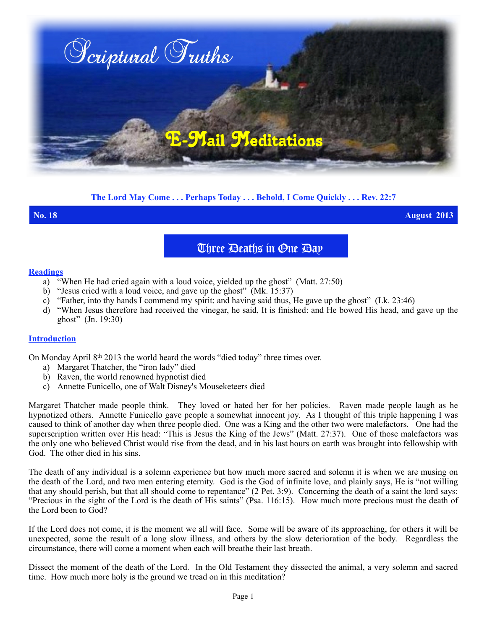

## **The Lord May Come . . . Perhaps Today . . . Behold, I Come Quickly . . . Rev. 22:7**

**No. 18 August 2013**

# Three Deaths in One Day

#### **Readings**

- a) "When He had cried again with a loud voice, yielded up the ghost" (Matt. 27:50)
- b) "Jesus cried with a loud voice, and gave up the ghost" (Mk. 15:37)
- c) "Father, into thy hands I commend my spirit: and having said thus, He gave up the ghost" (Lk. 23:46)
- d) "When Jesus therefore had received the vinegar, he said, It is finished: and He bowed His head, and gave up the ghost" (Jn. 19:30)

#### **Introduction**

On Monday April 8th 2013 the world heard the words "died today" three times over.

- a) Margaret Thatcher, the "iron lady" died
- b) Raven, the world renowned hypnotist died
- c) Annette Funicello, one of Walt Disney's Mouseketeers died

Margaret Thatcher made people think. They loved or hated her for her policies. Raven made people laugh as he hypnotized others. Annette Funicello gave people a somewhat innocent joy. As I thought of this triple happening I was caused to think of another day when three people died. One was a King and the other two were malefactors. One had the superscription written over His head: "This is Jesus the King of the Jews" (Matt. 27:37). One of those malefactors was the only one who believed Christ would rise from the dead, and in his last hours on earth was brought into fellowship with God. The other died in his sins.

The death of any individual is a solemn experience but how much more sacred and solemn it is when we are musing on the death of the Lord, and two men entering eternity. God is the God of infinite love, and plainly says, He is "not willing that any should perish, but that all should come to repentance" (2 Pet. 3:9). Concerning the death of a saint the lord says: "Precious in the sight of the Lord is the death of His saints" (Psa. 116:15). How much more precious must the death of the Lord been to God?

If the Lord does not come, it is the moment we all will face. Some will be aware of its approaching, for others it will be unexpected, some the result of a long slow illness, and others by the slow deterioration of the body. Regardless the circumstance, there will come a moment when each will breathe their last breath.

Dissect the moment of the death of the Lord. In the Old Testament they dissected the animal, a very solemn and sacred time. How much more holy is the ground we tread on in this meditation?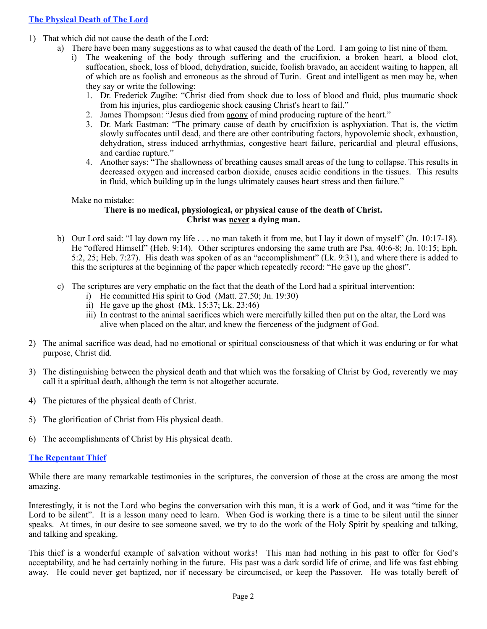- 1) That which did not cause the death of the Lord:
	- a) There have been many suggestions as to what caused the death of the Lord. I am going to list nine of them.
		- i) The weakening of the body through suffering and the crucifixion, a broken heart, a blood clot, suffocation, shock, loss of blood, dehydration, suicide, foolish bravado, an accident waiting to happen, all of which are as foolish and erroneous as the shroud of Turin. Great and intelligent as men may be, when they say or write the following:
			- 1. Dr. Frederick Zugibe: "Christ died from shock due to loss of blood and fluid, plus traumatic shock from his injuries, plus cardiogenic shock causing Christ's heart to fail."
			- 2. James Thompson: "Jesus died from [agony](http://www.christiananswers.net/dictionary/agony.html) of mind producing rupture of the heart."
			- 3. Dr. Mark Eastman: "The primary cause of death by crucifixion is asphyxiation. That is, the victim slowly suffocates until dead, and there are other contributing factors, hypovolemic shock, exhaustion, dehydration, stress induced arrhythmias, congestive heart failure, pericardial and pleural effusions, and cardiac rupture."
			- 4. Another says: "The shallowness of breathing causes small areas of the lung to collapse. This results in decreased oxygen and increased carbon dioxide, causes acidic conditions in the tissues. This results in fluid, which building up in the lungs ultimately causes heart stress and then failure."

#### Make no mistake:

#### **There is no medical, physiological, or physical cause of the death of Christ. Christ was never a dying man.**

- b) Our Lord said: "I lay down my life . . . no man taketh it from me, but I lay it down of myself" (Jn. 10:17-18). He "offered Himself" (Heb. 9:14). Other scriptures endorsing the same truth are Psa. 40:6-8; Jn. 10:15; Eph. 5:2, 25; Heb. 7:27). His death was spoken of as an "accomplishment" (Lk. 9:31), and where there is added to this the scriptures at the beginning of the paper which repeatedly record: "He gave up the ghost".
- c) The scriptures are very emphatic on the fact that the death of the Lord had a spiritual intervention:
	- i) He committed His spirit to God (Matt. 27.50; Jn. 19:30)
	- ii) He gave up the ghost (Mk. 15:37; Lk. 23:46)
	- iii) In contrast to the animal sacrifices which were mercifully killed then put on the altar, the Lord was alive when placed on the altar, and knew the fierceness of the judgment of God.
- 2) The animal sacrifice was dead, had no emotional or spiritual consciousness of that which it was enduring or for what purpose, Christ did.
- 3) The distinguishing between the physical death and that which was the forsaking of Christ by God, reverently we may call it a spiritual death, although the term is not altogether accurate.
- 4) The pictures of the physical death of Christ.
- 5) The glorification of Christ from His physical death.
- 6) The accomplishments of Christ by His physical death.

#### **The Repentant Thief**

While there are many remarkable testimonies in the scriptures, the conversion of those at the cross are among the most amazing.

Interestingly, it is not the Lord who begins the conversation with this man, it is a work of God, and it was "time for the Lord to be silent". It is a lesson many need to learn. When God is working there is a time to be silent until the sinner speaks. At times, in our desire to see someone saved, we try to do the work of the Holy Spirit by speaking and talking, and talking and speaking.

This thief is a wonderful example of salvation without works! This man had nothing in his past to offer for God's acceptability, and he had certainly nothing in the future. His past was a dark sordid life of crime, and life was fast ebbing away. He could never get baptized, nor if necessary be circumcised, or keep the Passover. He was totally bereft of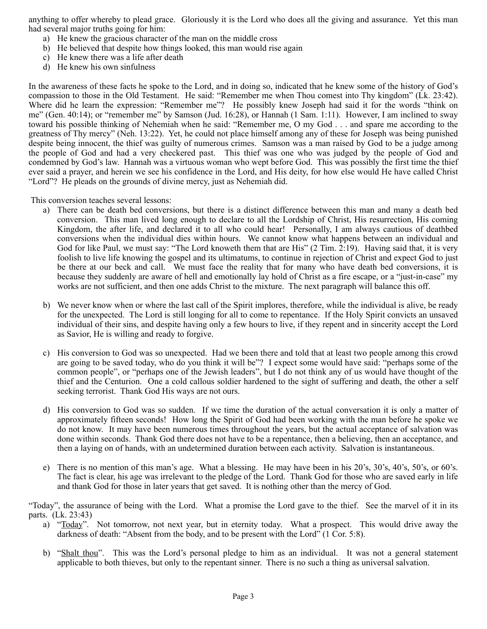anything to offer whereby to plead grace. Gloriously it is the Lord who does all the giving and assurance. Yet this man had several major truths going for him:

- a) He knew the gracious character of the man on the middle cross
- b) He believed that despite how things looked, this man would rise again
- c) He knew there was a life after death
- d) He knew his own sinfulness

In the awareness of these facts he spoke to the Lord, and in doing so, indicated that he knew some of the history of God's compassion to those in the Old Testament. He said: "Remember me when Thou comest into Thy kingdom" (Lk. 23:42). Where did he learn the expression: "Remember me"? He possibly knew Joseph had said it for the words "think on me" (Gen. 40:14); or "remember me" by Samson (Jud. 16:28), or Hannah (1 Sam. 1:11). However, I am inclined to sway toward his possible thinking of Nehemiah when he said: "Remember me, O my God . . . and spare me according to the greatness of Thy mercy" (Neh. 13:22). Yet, he could not place himself among any of these for Joseph was being punished despite being innocent, the thief was guilty of numerous crimes. Samson was a man raised by God to be a judge among the people of God and had a very checkered past. This thief was one who was judged by the people of God and condemned by God's law. Hannah was a virtuous woman who wept before God. This was possibly the first time the thief ever said a prayer, and herein we see his confidence in the Lord, and His deity, for how else would He have called Christ "Lord"? He pleads on the grounds of divine mercy, just as Nehemiah did.

This conversion teaches several lessons:

- a) There can be death bed conversions, but there is a distinct difference between this man and many a death bed conversion. This man lived long enough to declare to all the Lordship of Christ, His resurrection, His coming Kingdom, the after life, and declared it to all who could hear! Personally, I am always cautious of deathbed conversions when the individual dies within hours. We cannot know what happens between an individual and God for like Paul, we must say: "The Lord knoweth them that are His" (2 Tim. 2:19). Having said that, it is very foolish to live life knowing the gospel and its ultimatums, to continue in rejection of Christ and expect God to just be there at our beck and call. We must face the reality that for many who have death bed conversions, it is because they suddenly are aware of hell and emotionally lay hold of Christ as a fire escape, or a "just-in-case" my works are not sufficient, and then one adds Christ to the mixture. The next paragraph will balance this off.
- b) We never know when or where the last call of the Spirit implores, therefore, while the individual is alive, be ready for the unexpected. The Lord is still longing for all to come to repentance. If the Holy Spirit convicts an unsaved individual of their sins, and despite having only a few hours to live, if they repent and in sincerity accept the Lord as Savior, He is willing and ready to forgive.
- c) His conversion to God was so unexpected. Had we been there and told that at least two people among this crowd are going to be saved today, who do you think it will be"? I expect some would have said: "perhaps some of the common people", or "perhaps one of the Jewish leaders", but I do not think any of us would have thought of the thief and the Centurion. One a cold callous soldier hardened to the sight of suffering and death, the other a self seeking terrorist. Thank God His ways are not ours.
- d) His conversion to God was so sudden. If we time the duration of the actual conversation it is only a matter of approximately fifteen seconds! How long the Spirit of God had been working with the man before he spoke we do not know. It may have been numerous times throughout the years, but the actual acceptance of salvation was done within seconds. Thank God there does not have to be a repentance, then a believing, then an acceptance, and then a laying on of hands, with an undetermined duration between each activity. Salvation is instantaneous.
- e) There is no mention of this man's age. What a blessing. He may have been in his 20's, 30's, 40's, 50's, or 60's. The fact is clear, his age was irrelevant to the pledge of the Lord. Thank God for those who are saved early in life and thank God for those in later years that get saved. It is nothing other than the mercy of God.

"Today", the assurance of being with the Lord. What a promise the Lord gave to the thief. See the marvel of it in its parts. (Lk. 23:43)

- a) "<u>Today</u>". Not tomorrow, not next year, but in eternity today. What a prospect. This would drive away the darkness of death: "Absent from the body, and to be present with the Lord" (1 Cor. 5:8).
- b) "Shalt thou". This was the Lord's personal pledge to him as an individual. It was not a general statement applicable to both thieves, but only to the repentant sinner. There is no such a thing as universal salvation.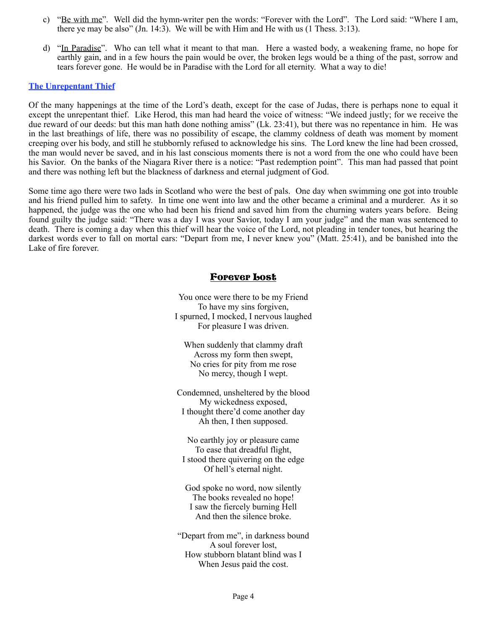- c) "Be with me". Well did the hymn-writer pen the words: "Forever with the Lord". The Lord said: "Where I am, there ye may be also"  $(In. 14:3)$ . We will be with Him and He with us  $(1)$  Thess.  $3:13$ .
- d) "In Paradise". Who can tell what it meant to that man. Here a wasted body, a weakening frame, no hope for earthly gain, and in a few hours the pain would be over, the broken legs would be a thing of the past, sorrow and tears forever gone. He would be in Paradise with the Lord for all eternity. What a way to die!

#### **The Unrepentant Thief**

Of the many happenings at the time of the Lord's death, except for the case of Judas, there is perhaps none to equal it except the unrepentant thief. Like Herod, this man had heard the voice of witness: "We indeed justly; for we receive the due reward of our deeds: but this man hath done nothing amiss" (Lk. 23:41), but there was no repentance in him. He was in the last breathings of life, there was no possibility of escape, the clammy coldness of death was moment by moment creeping over his body, and still he stubbornly refused to acknowledge his sins. The Lord knew the line had been crossed, the man would never be saved, and in his last conscious moments there is not a word from the one who could have been his Savior. On the banks of the Niagara River there is a notice: "Past redemption point". This man had passed that point and there was nothing left but the blackness of darkness and eternal judgment of God.

Some time ago there were two lads in Scotland who were the best of pals. One day when swimming one got into trouble and his friend pulled him to safety. In time one went into law and the other became a criminal and a murderer. As it so happened, the judge was the one who had been his friend and saved him from the churning waters years before. Being found guilty the judge said: "There was a day I was your Savior, today I am your judge" and the man was sentenced to death. There is coming a day when this thief will hear the voice of the Lord, not pleading in tender tones, but hearing the darkest words ever to fall on mortal ears: "Depart from me, I never knew you" (Matt. 25:41), and be banished into the Lake of fire forever.

### Forever Lost

You once were there to be my Friend To have my sins forgiven, I spurned, I mocked, I nervous laughed For pleasure I was driven.

When suddenly that clammy draft Across my form then swept, No cries for pity from me rose No mercy, though I wept.

Condemned, unsheltered by the blood My wickedness exposed, I thought there'd come another day Ah then, I then supposed.

No earthly joy or pleasure came To ease that dreadful flight, I stood there quivering on the edge Of hell's eternal night.

God spoke no word, now silently The books revealed no hope! I saw the fiercely burning Hell And then the silence broke.

"Depart from me", in darkness bound A soul forever lost, How stubborn blatant blind was I When Jesus paid the cost.